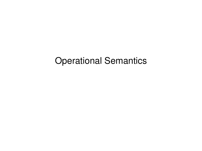# Operational Semantics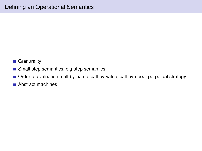- Granurality
- Small-step semantics, big-step semantics
- Order of evaluation: call-by-name, call-by-value, call-by-need, perpetual strategy
- Abstract machines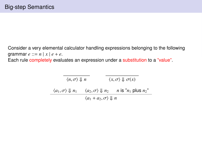Consider a very elemental calculator handling expressions belonging to the following grammar  $e ::= n | x | e + e$ .

Each rule completely evaluates an expression under a substitution to a "value".

| $\langle n, \sigma \rangle \Downarrow n$     |                                                  | $\langle x, \sigma \rangle \parallel \sigma(x)$                                      |
|----------------------------------------------|--------------------------------------------------|--------------------------------------------------------------------------------------|
| $\langle a_1, \sigma \rangle \Downarrow n_1$ |                                                  | $\langle a_2, \sigma \rangle \Downarrow n_2$ $n \text{ is } n_1 \text{ plus } n_2$ " |
|                                              | $\langle a_1 + a_2, \sigma \rangle \Downarrow n$ |                                                                                      |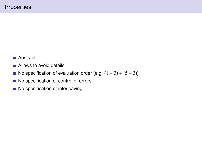- Abstract  $\mathcal{L}_{\mathcal{A}}$
- **Allows to avoid details**
- No specification of evaluation order (e.g.  $(1 + 3) + (5 3)$ )
- No specification of control of errors
- No specification of interleaving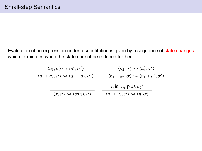Evaluation of an expression under a substitution is given by a sequence of state changes which terminates when the state cannot be reduced further.

| $\langle a_1, \sigma \rangle \rightsquigarrow \langle a'_1, \sigma' \rangle$             | $\langle a_2, \sigma \rangle \rightsquigarrow \langle a'_2, \sigma' \rangle$             |
|------------------------------------------------------------------------------------------|------------------------------------------------------------------------------------------|
| $\langle a_1 + a_2, \sigma \rangle \rightsquigarrow \langle a'_1 + a_2, \sigma' \rangle$ | $\langle n_1 + a_2, \sigma \rangle \rightsquigarrow \langle n_1 + a'_2, \sigma' \rangle$ |
|                                                                                          | <i>n</i> is " $n_1$ plus $n_2$ "                                                         |
| $\langle x, \sigma \rangle \rightsquigarrow \langle \sigma(x), \sigma \rangle$           | $\langle n_1 + n_2, \sigma \rangle \rightsquigarrow \langle n, \sigma \rangle$           |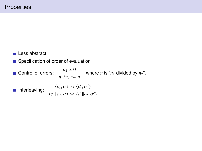Less abstract

■ Specification of order of evaluation

Control of errors:  $\frac{n_2 \neq 0}{n_1}$  $\frac{2}{n_1/n_2}$   $\rightarrow$  *n*, where *n* is "*n*<sub>1</sub> divided by *n*<sub>2</sub>". Interleaving:  $\frac{\langle c_1, \sigma \rangle \rightsquigarrow \langle c'_1, \sigma' \rangle}{\langle c''_1, \sigma''_2 \rangle}$  $\langle c_1 || c_2, \sigma \rangle \leftrightarrow \langle c_1' || c_2, \sigma' \rangle$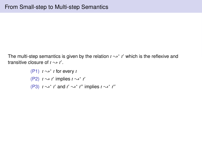The multi-step semantics is given by the relation  $t \rightarrow^* t'$  which is the reflexive and transitive closure of  $t \sim t'$ .

```
(P1) t \rightarrow^* t for every t
(P2) t \rightarrow t' implies t \rightarrow^* t'(P3) t \rightsquigarrow^* t' and t' \rightsquigarrow^* t'' implies t \rightsquigarrow^* t''
```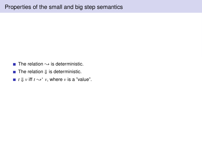- The relation  $\rightarrow$  is deterministic.
- The relation  $\Downarrow$  is deterministic.
- *t*  $\Downarrow$  *v* iff *t*  $\leadsto^*$  *v*, where *v* is a "value".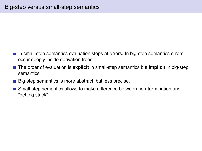- In small-step semantics evaluation stops at errors. In big-step semantics errors occur deeply inside derivation trees.
- The order of evaluation is **explicit** in small-step semantics but **implicit** in big-step semantics.
- Big-step semantics is more abstract, but less precise.
- **Small-step semantics allows to make difference between non-termination and** "getting stuck".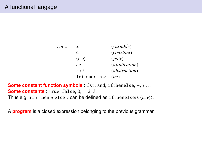| $t, u ::=$ | x                      | ( <i>variable</i> )    |  |
|------------|------------------------|------------------------|--|
|            | C                      | (constant)             |  |
|            | $\langle t, u \rangle$ | (pair)                 |  |
|            | t u                    | ( <i>application</i> ) |  |
|            | $\lambda x.t$          | ( <i>abstraction</i> ) |  |
|            | let $x = t$ in $u$     | (left)                 |  |

**Some constant function symbols** : fst, snd, ifthenelse, +, ∗ . . . **Some constants** : true, false, 0, 1, 2, 3, ... Thus e.g. if *t* then *u* else *v* can be defined as if thenelse $\langle t, \langle u, v \rangle \rangle$ .

A **program** is a closed expression belonging to the previous grammar.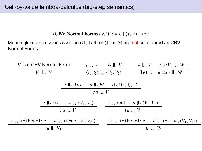(CBV Normal Forms) *V*, *W* ::= c  $| \langle V, V \rangle | \lambda x.t$ 

Meaningless expressions such as  $(1, 1)$  3) or (true 3) are not considered as CBV Normal Forms.

| V is a CBV Normal Form                                                                                 | $t_1 \Downarrow_v V_1$ $t_2 \Downarrow_v V_2$                      |                                                  |                                                                    | $u \Downarrow_{v} V$ $r\{x/V\} \Downarrow_{v} W$             |  |
|--------------------------------------------------------------------------------------------------------|--------------------------------------------------------------------|--------------------------------------------------|--------------------------------------------------------------------|--------------------------------------------------------------|--|
| $V \Downarrow_{v} V$                                                                                   | $\langle t_1, t_2 \rangle \Downarrow_{v} \langle V_1, V_2 \rangle$ |                                                  |                                                                    | $\text{let } x = u \text{ in } r \parallel_{v} W$            |  |
| $t \downarrow_{v} \lambda x.r$                                                                         |                                                                    | $u \Downarrow_{v} W$ $r\{x/W\} \Downarrow_{v} V$ |                                                                    |                                                              |  |
| $t u \Downarrow_{v} V$                                                                                 |                                                                    |                                                  |                                                                    |                                                              |  |
| $t \Downarrow_{v} \text{fst}$ $u \Downarrow_{v} \langle V_1, V_2 \rangle$                              |                                                                    |                                                  | $t \downarrow_{v}$ snd $u \downarrow_{v} \langle V_1, V_2 \rangle$ |                                                              |  |
| tu $\mathcal{L}_v$ $V_1$                                                                               |                                                                    |                                                  | tu $\Downarrow_v V_2$                                              |                                                              |  |
| $t \Downarrow$ if thenelse<br>$u \Downarrow_{v} \langle \text{true}, \langle V_1, V_2 \rangle \rangle$ |                                                                    | $t \Downarrow$ if thenelse                       |                                                                    | u $\Downarrow$ , $\langle$ false, $\langle V_1, V_2 \rangle$ |  |
| tu $\mathcal{L}_v$ $V_1$                                                                               |                                                                    |                                                  | tu $\mathbb{U}_v$ $V_2$                                            |                                                              |  |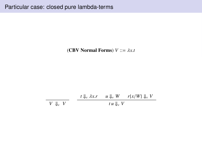(CBV Normal Forms)  $V ::= \lambda x.t$ 

*V* ⇓*<sup>v</sup> V*  $t \downarrow_{v} \lambda x.r$   $u \downarrow_{v} W$   $r\{x/W\} \downarrow_{v} V$  $t u \Downarrow_v V$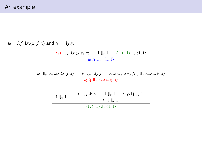$t_0 = \lambda f \cdot \lambda x \cdot \langle x, f \rangle$  and  $t_1 = \lambda y \cdot y$ . *t*<sub>0</sub> *t*<sub>1</sub>  $\Downarrow$ *v*  $\lambda$ *x*. $\langle$ *x*, *t*<sub>1</sub> *x* $\rangle$  1  $\Downarrow$   $\Downarrow$  1  $\langle$  1, *t*<sub>1</sub> 1 $\rangle$   $\Downarrow$   $\vee$   $\langle$  1, 1 $\rangle$  $t_0$   $t_1$  1  $\Downarrow$ <sup>v</sup> $\langle 1, 1 \rangle$ 

> *t*<sub>0</sub>  $\Downarrow$ *v*  $\lambda f. \lambda x. \langle x, f x \rangle$  *t*<sub>1</sub>  $\Downarrow$ *v*  $\lambda y. \mathbf{y}$   $\lambda x. \langle x, f x \rangle \{f/t_1\} \Downarrow$ *v*  $\lambda x. \langle x, t_1 x \rangle$ *t*<sub>0</sub> *t*<sub>1</sub>  $\Downarrow$ <sup>*v*</sup>  $\lambda$ *x*. $\langle$ *x*, *t*<sub>1</sub> *x* $\rangle$

$$
\frac{1 \Downarrow_{v} 1 \qquad \frac{t_{1} \Downarrow_{v} \lambda y.y}{t_{1} \Downarrow_{v} 1} \qquad \frac{t_{1} \Downarrow_{v} 1}{t_{1} \Downarrow_{v} 1}}{\langle 1, t_{1} 1 \rangle \Downarrow_{v} \langle 1, 1 \rangle}
$$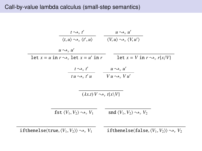### Call-by-value lambda calculus (small-step semantics)

| $t \rightarrow v t'$                                                                                                            | $u \rightsquigarrow_v u'$                                         |
|---------------------------------------------------------------------------------------------------------------------------------|-------------------------------------------------------------------|
| $\langle t, u \rangle \rightsquigarrow_v \langle t', u \rangle$ $\langle V, u \rangle \rightsquigarrow_v \langle V, u' \rangle$ |                                                                   |
| $u \rightsquigarrow_v u'$                                                                                                       |                                                                   |
| $\det x = u \text{ in } r \rightarrow_v \text{ let } x = u' \text{ in } r$                                                      | let $x = V$ in $r \rightsquigarrow_v r\{x/V\}$                    |
| $\frac{t \rightsquigarrow_v t'}{tu \rightsquigarrow_v t' u}$ $\frac{u \rightsquigarrow_v u'}{Vu \rightsquigarrow_v Vu'}$        |                                                                   |
| $(\lambda x.t) V \rightsquigarrow_v t\{x\}V$                                                                                    |                                                                   |
| fst $\langle V_1, V_2 \rangle \rightsquigarrow_v V_1$                                                                           | snd $\langle V_1, V_2 \rangle \rightarrow V_2$                    |
| ifthenelse $\langle$ true, $\langle V_1, V_2 \rangle \rangle \rightsquigarrow_v V_1$                                            | if thenelse (false, $\langle V_1, V_2 \rangle$ ) $\leadsto$ $V_2$ |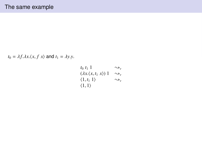$t_0 = \lambda f \cdot \lambda x \cdot \langle x, f \rangle$  and  $t_1 = \lambda y \cdot y$ .

 $t_0$   $t_1$  1  $\longrightarrow_v$  $(\lambda x.\langle x,t_1 x \rangle)$  1  $\rightarrow_v$ <br> $(1, t_1)$   $\rightarrow$  $\langle 1, t_1 1 \rangle$   $\leadsto$ <sub>*v*</sub>  $\langle 1, 1 \rangle$  $\langle 1, 1 \rangle$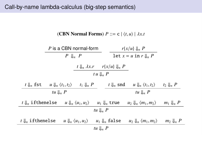(CBN Normal Forms)  $P ::= c | \langle t, u \rangle | \lambda x. t$ 

|                               | $P$ is a CBN normal-form                  |                                           |                                                       | $r\{x/u\} \Downarrow_n P$                        |                      |  |
|-------------------------------|-------------------------------------------|-------------------------------------------|-------------------------------------------------------|--------------------------------------------------|----------------------|--|
|                               | $P \Downarrow_n P$                        |                                           |                                                       | $\text{let } x = u \text{ in } r \downarrow_n P$ |                      |  |
|                               |                                           |                                           | $t \downarrow_n \lambda x.r$ $r\{x/u\}\downarrow_n P$ |                                                  |                      |  |
|                               | $t u \Downarrow_n P$                      |                                           |                                                       |                                                  |                      |  |
| $t \Downarrow_n \textsf{fst}$ | $u \Downarrow_n \langle t_1, t_2 \rangle$ | $t_1 \Downarrow_n P$                      | $t \downarrow_n$ snd                                  | $u \Downarrow_n \langle t_1, t_2 \rangle$        | $t_2 \Downarrow_n P$ |  |
|                               | tu $\mathbb{I}_n$ P                       |                                           |                                                       | tu $\mathcal{L}_n$ P                             |                      |  |
| $t \Downarrow_n$ if thenelse  |                                           | $u \Downarrow_n \langle u_1, u_2 \rangle$ | $u_1 \Downarrow_n$ true                               | $u_2 \downarrow_n \langle m_1, m_2 \rangle$      | $m_1 \Downarrow_n P$ |  |
| tu $\mathbb{I}_n$ P           |                                           |                                           |                                                       |                                                  |                      |  |
| $t \downarrow$ if thenelse    |                                           | $u \Downarrow_n \langle u_1, u_2 \rangle$ | $u_1 \Downarrow_n$ false                              | $u_2 \Downarrow_n \langle m_1, m_2 \rangle$      | $m_2 \downarrow_n P$ |  |
|                               |                                           |                                           | tu $\downarrow$ <sub>n</sub> P                        |                                                  |                      |  |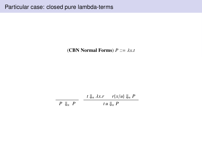(CBN Normal Forms)  $P ::= \lambda x.t$ 

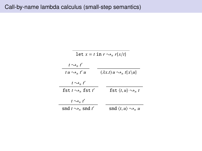$\overline{\phantom{0}}$ 

| let $x = t$ in $r \rightsquigarrow_n r\{x/t\}$ |                                                 |  |  |
|------------------------------------------------|-------------------------------------------------|--|--|
| $t \rightarrow n t'$                           |                                                 |  |  |
| $tu \rightarrow_n t'u$                         | $(\lambda x.t) u \rightsquigarrow_n t\{x\}u\}$  |  |  |
| $t \rightarrow n t'$                           |                                                 |  |  |
| fst $t \rightsquigarrow_n$ fst $t'$            | fst $\langle t, u \rangle \rightsquigarrow_n t$ |  |  |
| $t \rightarrow n t'$                           |                                                 |  |  |
| snd $t \sim_n$ snd $t'$                        | snd $\langle t, u \rangle \rightarrow_n u$      |  |  |
|                                                |                                                 |  |  |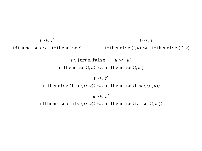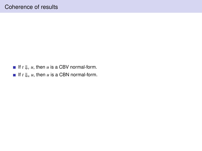- If  $t \Downarrow_{v} u$ , then *u* is a CBV normal-form.
- If  $t \Downarrow_n u$ , then *u* is a CBN normal-form.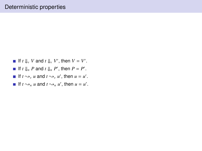- If  $t \Downarrow_{\nu} V$  and  $t \Downarrow_{\nu} V'$ , then  $V = V'$ .
- If  $t \downarrow_n P$  and  $t \downarrow_n P'$ , then  $P = P'$ .
- If  $t \sim_{v} u$  and  $t \sim_{v} u'$ , then  $u = u'$ .
- If  $t \sim_n u$  and  $t \sim_n u'$ , then  $u = u'$ .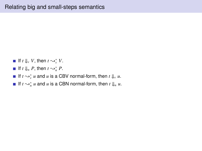- If  $t \Downarrow_{v} V$ , then  $t \leadsto_{v}^{*} V$ .
- If  $t \Downarrow_n P$ , then  $t \leadsto_n^* P$ .
- If  $t \sim_{v}^{*} u$  and  $u$  is a CBV normal-form, then  $t \Downarrow_{v} u$ .
- If  $t \sim_{n}^{*} u$  and *u* is a CBN normal-form, then  $t \downarrow_{n} u$ .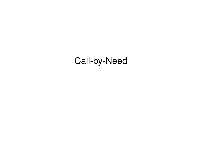## Call-by-Need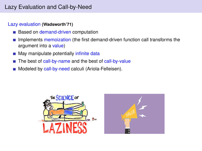### Lazy Evaluation and Call-by-Need

#### Lazy evaluation **(Wadsworth'71)**

- Based on demand-driven computation
- Implements memoization (the first demand-driven function call transforms the argument into a value)
- May manipulate potentially infinite data **College**
- The best of call-by-name and the best of call-by-value
- Modeled by call-by-need calculi (Ariola-Felleisen).

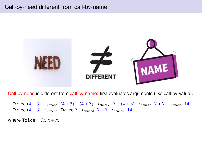### Call-by-need different from call-by-name



Call-by-need is different from call-by-name: first evaluates arguments (like call-by-value).

Twice  $(4 + 3) \rightarrow$ chname  $(4 + 3) + (4 + 3) \rightarrow$ chname  $7 + (4 + 3) \rightarrow$ chname  $7 + 7 \rightarrow$ chname 14 Twice  $(4 + 3) \rightarrow$ cbneed Twice  $7 \rightarrow$ cbneed  $7 + 7 \rightarrow$ cbneed 14

where  $Twice = \lambda x x + x$ .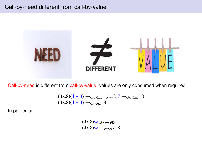

Call-by-need is different from call-by-value: values are only consumed when required

$$
(\lambda x.8)(4+3) \rightarrow_{\text{cbvalue}} (\lambda x.8)7 \rightarrow_{\text{cbvalue}} 8
$$
  

$$
(\lambda x.8)(4+3) \rightarrow_{\text{cbneed}} 8
$$

In particular

$$
(\lambda x.8)\Omega \rightarrow \text{cbvative}
$$

$$
(\lambda x.8)\Omega \rightarrow \text{chneed} 8
$$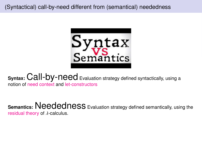

**Syntax: Call-by-need** Evaluation strategy defined syntactically, using a notion of need context and let-constructors

**Semantics: Neededness** Evaluation strategy defined semantically, using the residual theory of  $\lambda$ -calculus.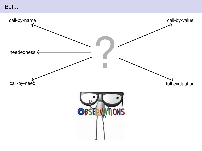## But....

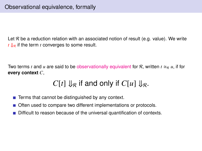Let  $R$  be a reduction relation with an associated notion of result (e.g. value). We write  $t \downarrow_{\mathcal{R}}$  if the term *t* converges to some result.

Two terms *t* and *u* are said to be observationally equivalent for R, written  $t \approx_{\mathcal{R}} u$ , if for **every context** *C*,

## $C[t] \Downarrow_R$  if and only if  $C[u] \Downarrow_R$ .

- $\blacksquare$  Terms that cannot be distinguished by any context.
- Often used to compare two different implementations or protocols.
- Difficult to reason because of the universal quantification of contexts.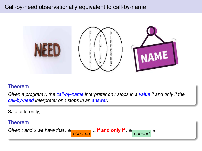### Call-by-need observationally equivalent to call-by-name



#### Theorem

Given a program *t*, the call-by-name interpreter on *t* stops in a value if and only if the call-by-need interpreter on *t* stops in an answer.

cbneed *<sup>u</sup>*.

Said differently,

#### Theorem

Given *t* and *u* we have that  $t \approx 0$ chname  $u$  if and only if  $t \approx$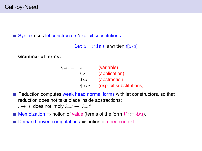Syntax uses let constructors/explicit substitutions

```
Let x = u in t is written t[x\u]
```
**Grammar of terms:**

| $t, u ::=$ | x                 | (variable)                      |  |
|------------|-------------------|---------------------------------|--|
|            | t u               | (application)                   |  |
|            | $\lambda x.t$     | (abstraction)                   |  |
|            | $t[x\setminus u]$ | <i>(explicit substitutions)</i> |  |

Reduction computes weak head normal forms with let constructors, so that reduction does not take place inside abstractions:

 $t \rightarrow t'$  does not imply  $\lambda x.t \rightarrow \lambda x.t'.$ 

- **■** Memoization  $\Rightarrow$  notion of value (terms of the form  $V ::= \lambda x.t$ ).
- Demand-driven computations ⇒ notion of need context.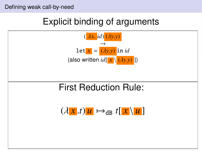## Explicit binding of arguments

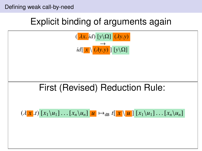### Defining weak call-by-need

## Explicit binding of arguments again

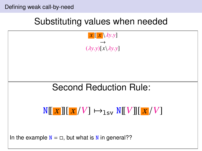## Substituting values when needed

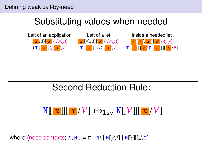### Defining weak call-by-need

## Substituting values when needed

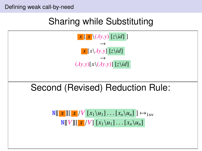Defining weak call-by-need

## Sharing while Substituting

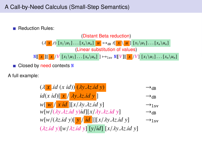Reduction Rules:



 $\blacksquare$  Closed by need contexts N

A full example:

 $(\lambda \mathbf{x} \cdot id \mathbf{x} \cdot id) \cdot (\lambda \mathbf{y} \cdot \lambda \mathbf{z} \cdot id \mathbf{y})$   $\rightarrow$ dB<br>  $id(x id) [\mathbf{x} / \lambda \mathbf{y} \cdot \lambda \mathbf{z} \cdot id \mathbf{y}]$   $\rightarrow$ dB  $id(x \text{ id})$  $\left[\frac{x}{\sqrt{x \text{ id}}}\right]$   $\left[\frac{xy}{\sqrt{x \text{ id}}}\right]$   $\left[\frac{x}{\sqrt{x \text{ id}}}\right]$   $\left[\frac{x}{\sqrt{x \text{ id}}}\right]$   $\left[\frac{y}{\sqrt{x \text{ id}}}\right]$   $\left[\frac{y}{\sqrt{x \text{ id}}}\right]$ *w*[<mark>w | *x id* ][*x*/*λy*.*λz.id y*] → → 1<sub>s</sub><br>w[w/(*λy.λz.id y*)*id*][*x*/*λy.λz.id y*] → → <sub>dB</sub></mark> *w*[*w*/(*λy.λz.id y*)*id*][*x*/*λy.λz.id y*] → →dB<br>*w*[*w*/(*λz.id y*)[*y*/*id*]][*x*/*λy.λz.id y*] → → <sub>1 sv</sub>  $w[w/(\lambda z.id y)[y / id]][x/\lambda y.\lambda z.id y]$ (λ*z*.*id y*)[*w*/λ*z*.*id y*] [*y*/*id*] [*x*/λ*y*.λ*z*.*id y*]